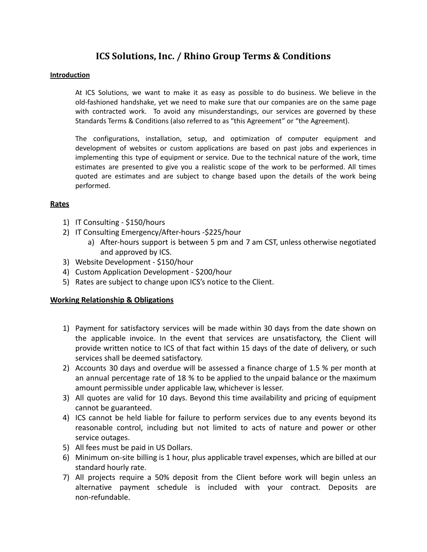# **ICS Solutions, Inc. / Rhino Group Terms & Conditions**

### **Introduction**

At ICS Solutions, we want to make it as easy as possible to do business. We believe in the old-fashioned handshake, yet we need to make sure that our companies are on the same page with contracted work. To avoid any misunderstandings, our services are governed by these Standards Terms & Conditions (also referred to as "this Agreement" or "the Agreement).

The configurations, installation, setup, and optimization of computer equipment and development of websites or custom applications are based on past jobs and experiences in implementing this type of equipment or service. Due to the technical nature of the work, time estimates are presented to give you a realistic scope of the work to be performed. All times quoted are estimates and are subject to change based upon the details of the work being performed.

### **Rates**

- 1) IT Consulting \$150/hours
- 2) IT Consulting Emergency/After-hours -\$225/hour
	- a) After-hours support is between 5 pm and 7 am CST, unless otherwise negotiated and approved by ICS.
- 3) Website Development \$150/hour
- 4) Custom Application Development \$200/hour
- 5) Rates are subject to change upon ICS's notice to the Client.

# **Working Relationship & Obligations**

- 1) Payment for satisfactory services will be made within 30 days from the date shown on the applicable invoice. In the event that services are unsatisfactory, the Client will provide written notice to ICS of that fact within 15 days of the date of delivery, or such services shall be deemed satisfactory.
- 2) Accounts 30 days and overdue will be assessed a finance charge of 1.5 % per month at an annual percentage rate of 18 % to be applied to the unpaid balance or the maximum amount permissible under applicable law, whichever is lesser.
- 3) All quotes are valid for 10 days. Beyond this time availability and pricing of equipment cannot be guaranteed.
- 4) ICS cannot be held liable for failure to perform services due to any events beyond its reasonable control, including but not limited to acts of nature and power or other service outages.
- 5) All fees must be paid in US Dollars.
- 6) Minimum on-site billing is 1 hour, plus applicable travel expenses, which are billed at our standard hourly rate.
- 7) All projects require a 50% deposit from the Client before work will begin unless an alternative payment schedule is included with your contract. Deposits are non-refundable.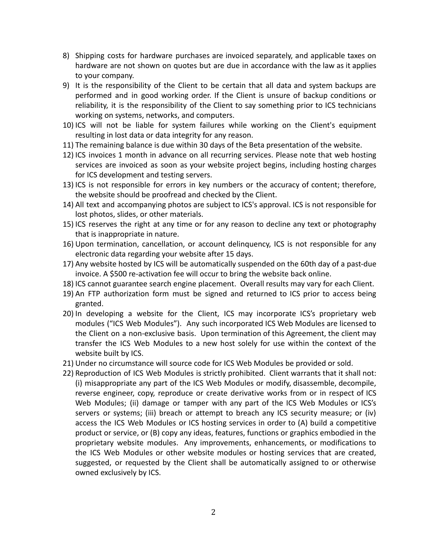- 8) Shipping costs for hardware purchases are invoiced separately, and applicable taxes on hardware are not shown on quotes but are due in accordance with the law as it applies to your company.
- 9) It is the responsibility of the Client to be certain that all data and system backups are performed and in good working order. If the Client is unsure of backup conditions or reliability, it is the responsibility of the Client to say something prior to ICS technicians working on systems, networks, and computers.
- 10) ICS will not be liable for system failures while working on the Client's equipment resulting in lost data or data integrity for any reason.
- 11) The remaining balance is due within 30 days of the Beta presentation of the website.
- 12) ICS invoices 1 month in advance on all recurring services. Please note that web hosting services are invoiced as soon as your website project begins, including hosting charges for ICS development and testing servers.
- 13) ICS is not responsible for errors in key numbers or the accuracy of content; therefore, the website should be proofread and checked by the Client.
- 14) All text and accompanying photos are subject to ICS's approval. ICS is not responsible for lost photos, slides, or other materials.
- 15) ICS reserves the right at any time or for any reason to decline any text or photography that is inappropriate in nature.
- 16) Upon termination, cancellation, or account delinquency, ICS is not responsible for any electronic data regarding your website after 15 days.
- 17) Any website hosted by ICS will be automatically suspended on the 60th day of a past-due invoice. A \$500 re-activation fee will occur to bring the website back online.
- 18) ICS cannot guarantee search engine placement. Overall results may vary for each Client.
- 19) An FTP authorization form must be signed and returned to ICS prior to access being granted.
- 20) In developing a website for the Client, ICS may incorporate ICS's proprietary web modules ("ICS Web Modules"). Any such incorporated ICS Web Modules are licensed to the Client on a non-exclusive basis. Upon termination of this Agreement, the client may transfer the ICS Web Modules to a new host solely for use within the context of the website built by ICS.
- 21) Under no circumstance will source code for ICS Web Modules be provided or sold.
- 22) Reproduction of ICS Web Modules is strictly prohibited. Client warrants that it shall not: (i) misappropriate any part of the ICS Web Modules or modify, disassemble, decompile, reverse engineer, copy, reproduce or create derivative works from or in respect of ICS Web Modules; (ii) damage or tamper with any part of the ICS Web Modules or ICS's servers or systems; (iii) breach or attempt to breach any ICS security measure; or (iv) access the ICS Web Modules or ICS hosting services in order to (A) build a competitive product or service, or (B) copy any ideas, features, functions or graphics embodied in the proprietary website modules. Any improvements, enhancements, or modifications to the ICS Web Modules or other website modules or hosting services that are created, suggested, or requested by the Client shall be automatically assigned to or otherwise owned exclusively by ICS.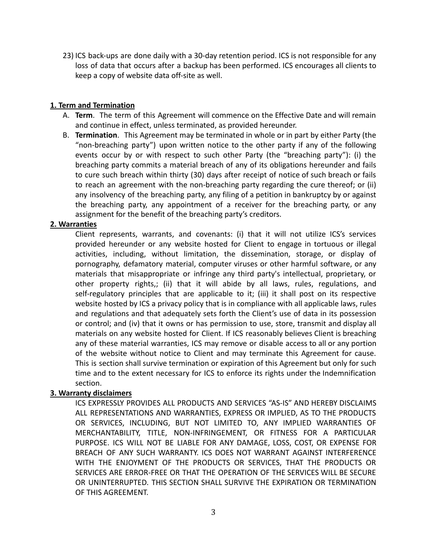23) ICS back-ups are done daily with a 30-day retention period. ICS is not responsible for any loss of data that occurs after a backup has been performed. ICS encourages all clients to keep a copy of website data off-site as well.

# **1. Term and Termination**

- A. **Term**. The term of this Agreement will commence on the Effective Date and will remain and continue in effect, unless terminated, as provided hereunder.
- B. **Termination**. This Agreement may be terminated in whole or in part by either Party (the "non-breaching party") upon written notice to the other party if any of the following events occur by or with respect to such other Party (the "breaching party"): (i) the breaching party commits a material breach of any of its obligations hereunder and fails to cure such breach within thirty (30) days after receipt of notice of such breach or fails to reach an agreement with the non-breaching party regarding the cure thereof; or (ii) any insolvency of the breaching party, any filing of a petition in bankruptcy by or against the breaching party, any appointment of a receiver for the breaching party, or any assignment for the benefit of the breaching party's creditors.

### **2. Warranties**

Client represents, warrants, and covenants: (i) that it will not utilize ICS's services provided hereunder or any website hosted for Client to engage in tortuous or illegal activities, including, without limitation, the dissemination, storage, or display of pornography, defamatory material, computer viruses or other harmful software, or any materials that misappropriate or infringe any third party's intellectual, proprietary, or other property rights,; (ii) that it will abide by all laws, rules, regulations, and self-regulatory principles that are applicable to it; (iii) it shall post on its respective website hosted by ICS a privacy policy that is in compliance with all applicable laws, rules and regulations and that adequately sets forth the Client's use of data in its possession or control; and (iv) that it owns or has permission to use, store, transmit and display all materials on any website hosted for Client. If ICS reasonably believes Client is breaching any of these material warranties, ICS may remove or disable access to all or any portion of the website without notice to Client and may terminate this Agreement for cause. This is section shall survive termination or expiration of this Agreement but only for such time and to the extent necessary for ICS to enforce its rights under the Indemnification section.

# **3. Warranty disclaimers**

ICS EXPRESSLY PROVIDES ALL PRODUCTS AND SERVICES "AS-IS" AND HEREBY DISCLAIMS ALL REPRESENTATIONS AND WARRANTIES, EXPRESS OR IMPLIED, AS TO THE PRODUCTS OR SERVICES, INCLUDING, BUT NOT LIMITED TO, ANY IMPLIED WARRANTIES OF MERCHANTABILITY, TITLE, NON-INFRINGEMENT, OR FITNESS FOR A PARTICULAR PURPOSE. ICS WILL NOT BE LIABLE FOR ANY DAMAGE, LOSS, COST, OR EXPENSE FOR BREACH OF ANY SUCH WARRANTY. ICS DOES NOT WARRANT AGAINST INTERFERENCE WITH THE ENJOYMENT OF THE PRODUCTS OR SERVICES, THAT THE PRODUCTS OR SERVICES ARE ERROR-FREE OR THAT THE OPERATION OF THE SERVICES WILL BE SECURE OR UNINTERRUPTED. THIS SECTION SHALL SURVIVE THE EXPIRATION OR TERMINATION OF THIS AGREEMENT.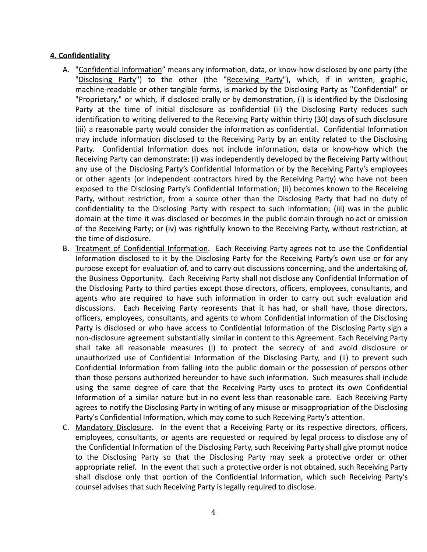# **4. Confidentiality**

- A. "Confidential Information" means any information, data, or know-how disclosed by one party (the "Disclosing Party") to the other (the "Receiving Party"), which, if in written, graphic, machine-readable or other tangible forms, is marked by the Disclosing Party as "Confidential" or "Proprietary," or which, if disclosed orally or by demonstration, (i) is identified by the Disclosing Party at the time of initial disclosure as confidential (ii) the Disclosing Party reduces such identification to writing delivered to the Receiving Party within thirty (30) days of such disclosure (iii) a reasonable party would consider the information as confidential. Confidential Information may include information disclosed to the Receiving Party by an entity related to the Disclosing Party. Confidential Information does not include information, data or know-how which the Receiving Party can demonstrate: (i) was independently developed by the Receiving Party without any use of the Disclosing Party's Confidential Information or by the Receiving Party's employees or other agents (or independent contractors hired by the Receiving Party) who have not been exposed to the Disclosing Party's Confidential Information; (ii) becomes known to the Receiving Party, without restriction, from a source other than the Disclosing Party that had no duty of confidentiality to the Disclosing Party with respect to such information; (iii) was in the public domain at the time it was disclosed or becomes in the public domain through no act or omission of the Receiving Party; or (iv) was rightfully known to the Receiving Party, without restriction, at the time of disclosure.
- B. Treatment of Confidential Information. Each Receiving Party agrees not to use the Confidential Information disclosed to it by the Disclosing Party for the Receiving Party's own use or for any purpose except for evaluation of, and to carry out discussions concerning, and the undertaking of, the Business Opportunity. Each Receiving Party shall not disclose any Confidential Information of the Disclosing Party to third parties except those directors, officers, employees, consultants, and agents who are required to have such information in order to carry out such evaluation and discussions. Each Receiving Party represents that it has had, or shall have, those directors, officers, employees, consultants, and agents to whom Confidential Information of the Disclosing Party is disclosed or who have access to Confidential Information of the Disclosing Party sign a non-disclosure agreement substantially similar in content to this Agreement. Each Receiving Party shall take all reasonable measures (i) to protect the secrecy of and avoid disclosure or unauthorized use of Confidential Information of the Disclosing Party, and (ii) to prevent such Confidential Information from falling into the public domain or the possession of persons other than those persons authorized hereunder to have such information. Such measures shall include using the same degree of care that the Receiving Party uses to protect its own Confidential Information of a similar nature but in no event less than reasonable care. Each Receiving Party agrees to notify the Disclosing Party in writing of any misuse or misappropriation of the Disclosing Party's Confidential Information, which may come to such Receiving Party's attention.
- C. Mandatory Disclosure. In the event that a Receiving Party or its respective directors, officers, employees, consultants, or agents are requested or required by legal process to disclose any of the Confidential Information of the Disclosing Party, such Receiving Party shall give prompt notice to the Disclosing Party so that the Disclosing Party may seek a protective order or other appropriate relief. In the event that such a protective order is not obtained, such Receiving Party shall disclose only that portion of the Confidential Information, which such Receiving Party's counsel advises that such Receiving Party is legally required to disclose.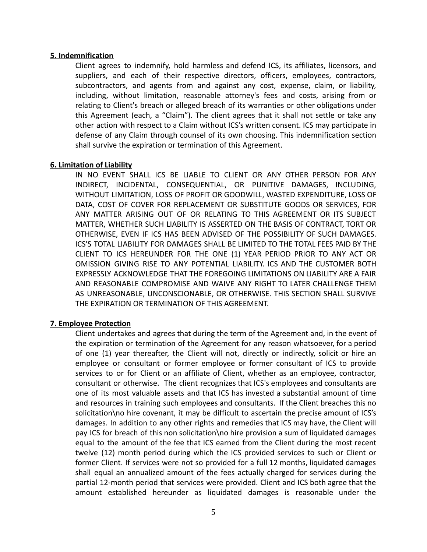#### **5. Indemnification**

Client agrees to indemnify, hold harmless and defend ICS, its affiliates, licensors, and suppliers, and each of their respective directors, officers, employees, contractors, subcontractors, and agents from and against any cost, expense, claim, or liability, including, without limitation, reasonable attorney's fees and costs, arising from or relating to Client's breach or alleged breach of its warranties or other obligations under this Agreement (each, a "Claim"). The client agrees that it shall not settle or take any other action with respect to a Claim without ICS's written consent. ICS may participate in defense of any Claim through counsel of its own choosing. This indemnification section shall survive the expiration or termination of this Agreement.

#### **6. Limitation of Liability**

IN NO EVENT SHALL ICS BE LIABLE TO CLIENT OR ANY OTHER PERSON FOR ANY INDIRECT, INCIDENTAL, CONSEQUENTIAL, OR PUNITIVE DAMAGES, INCLUDING, WITHOUT LIMITATION, LOSS OF PROFIT OR GOODWILL, WASTED EXPENDITURE, LOSS OF DATA, COST OF COVER FOR REPLACEMENT OR SUBSTITUTE GOODS OR SERVICES, FOR ANY MATTER ARISING OUT OF OR RELATING TO THIS AGREEMENT OR ITS SUBJECT MATTER, WHETHER SUCH LIABILITY IS ASSERTED ON THE BASIS OF CONTRACT, TORT OR OTHERWISE, EVEN IF ICS HAS BEEN ADVISED OF THE POSSIBILITY OF SUCH DAMAGES. ICS'S TOTAL LIABILITY FOR DAMAGES SHALL BE LIMITED TO THE TOTAL FEES PAID BY THE CLIENT TO ICS HEREUNDER FOR THE ONE (1) YEAR PERIOD PRIOR TO ANY ACT OR OMISSION GIVING RISE TO ANY POTENTIAL LIABILITY. ICS AND THE CUSTOMER BOTH EXPRESSLY ACKNOWLEDGE THAT THE FOREGOING LIMITATIONS ON LIABILITY ARE A FAIR AND REASONABLE COMPROMISE AND WAIVE ANY RIGHT TO LATER CHALLENGE THEM AS UNREASONABLE, UNCONSCIONABLE, OR OTHERWISE. THIS SECTION SHALL SURVIVE THE EXPIRATION OR TERMINATION OF THIS AGREEMENT.

#### **7. Employee Protection**

Client undertakes and agrees that during the term of the Agreement and, in the event of the expiration or termination of the Agreement for any reason whatsoever, for a period of one (1) year thereafter, the Client will not, directly or indirectly, solicit or hire an employee or consultant or former employee or former consultant of ICS to provide services to or for Client or an affiliate of Client, whether as an employee, contractor, consultant or otherwise. The client recognizes that ICS's employees and consultants are one of its most valuable assets and that ICS has invested a substantial amount of time and resources in training such employees and consultants. If the Client breaches this no solicitation\no hire covenant, it may be difficult to ascertain the precise amount of ICS's damages. In addition to any other rights and remedies that ICS may have, the Client will pay ICS for breach of this non solicitation\no hire provision a sum of liquidated damages equal to the amount of the fee that ICS earned from the Client during the most recent twelve (12) month period during which the ICS provided services to such or Client or former Client. If services were not so provided for a full 12 months, liquidated damages shall equal an annualized amount of the fees actually charged for services during the partial 12-month period that services were provided. Client and ICS both agree that the amount established hereunder as liquidated damages is reasonable under the